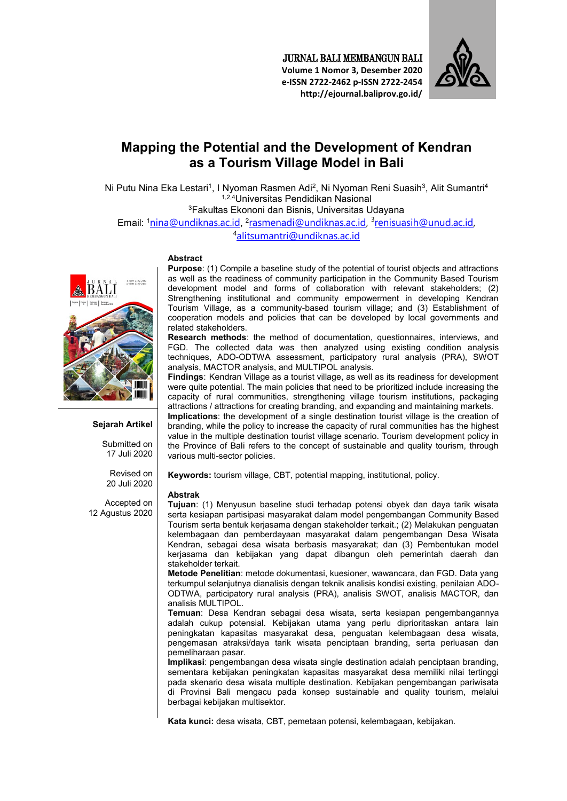JURNAL BALI MEMBANGUN BALI **Volume 1 Nomor 3, Desember 2020 e-ISSN 2722-2462 p-ISSN 2722-2454 http://ejournal.baliprov.go.id/** 



# **Mapping the Potential and the Development of Kendran as a Tourism Village Model in Bali**

Ni Putu Nina Eka Lestari<sup>1</sup>, I Nyoman Rasmen Adi<sup>2</sup>, Ni Nyoman Reni Suasih<sup>3</sup>, Alit Sumantri<sup>4</sup> 1,2,4Universitas Pendidikan Nasional <sup>3</sup>Fakultas Ekononi dan Bisnis, Universitas Udayana Email: <sup>1</sup>nina@undiknas.ac.id, <sup>2</sup>rasmenadi@undiknas.ac.id, <sup>3</sup>renisuasih@unud.ac.id,

<sup>4</sup>alitsumantri@undiknas.ac.id

#### **Abstract**

e-ISSN 2722-2462

**Sejarah Artikel** 

Submitted on 17 Juli 2020

Revised on 20 Juli 2020

Accepted on 12 Agustus 2020 **Purpose**: (1) Compile a baseline study of the potential of tourist objects and attractions as well as the readiness of community participation in the Community Based Tourism development model and forms of collaboration with relevant stakeholders; (2) Strengthening institutional and community empowerment in developing Kendran Tourism Village, as a community-based tourism village; and (3) Establishment of cooperation models and policies that can be developed by local governments and related stakeholders.

**Research methods**: the method of documentation, questionnaires, interviews, and FGD. The collected data was then analyzed using existing condition analysis techniques, ADO-ODTWA assessment, participatory rural analysis (PRA), SWOT analysis, MACTOR analysis, and MULTIPOL analysis.

**Findings**: Kendran Village as a tourist village, as well as its readiness for development were quite potential. The main policies that need to be prioritized include increasing the capacity of rural communities, strengthening village tourism institutions, packaging attractions / attractions for creating branding, and expanding and maintaining markets.

**Implications**: the development of a single destination tourist village is the creation of branding, while the policy to increase the capacity of rural communities has the highest value in the multiple destination tourist village scenario. Tourism development policy in the Province of Bali refers to the concept of sustainable and quality tourism, through various multi-sector policies.

**Keywords:** tourism village, CBT, potential mapping, institutional, policy.

#### **Abstrak**

**Tujuan**: (1) Menyusun baseline studi terhadap potensi obyek dan daya tarik wisata serta kesiapan partisipasi masyarakat dalam model pengembangan Community Based Tourism serta bentuk kerjasama dengan stakeholder terkait.; (2) Melakukan penguatan kelembagaan dan pemberdayaan masyarakat dalam pengembangan Desa Wisata Kendran, sebagai desa wisata berbasis masyarakat; dan (3) Pembentukan model kerjasama dan kebijakan yang dapat dibangun oleh pemerintah daerah dan stakeholder terkait.

**Metode Penelitian**: metode dokumentasi, kuesioner, wawancara, dan FGD. Data yang terkumpul selanjutnya dianalisis dengan teknik analisis kondisi existing, penilaian ADO-ODTWA, participatory rural analysis (PRA), analisis SWOT, analisis MACTOR, dan analisis MULTIPOL.

**Temuan**: Desa Kendran sebagai desa wisata, serta kesiapan pengembangannya adalah cukup potensial. Kebijakan utama yang perlu diprioritaskan antara lain peningkatan kapasitas masyarakat desa, penguatan kelembagaan desa wisata, pengemasan atraksi/daya tarik wisata penciptaan branding, serta perluasan dan pemeliharaan pasar.

**Implikasi**: pengembangan desa wisata single destination adalah penciptaan branding, sementara kebijakan peningkatan kapasitas masyarakat desa memiliki nilai tertinggi pada skenario desa wisata multiple destination. Kebijakan pengembangan pariwisata di Provinsi Bali mengacu pada konsep sustainable and quality tourism, melalui berbagai kebijakan multisektor.

**Kata kunci:** desa wisata, CBT, pemetaan potensi, kelembagaan, kebijakan.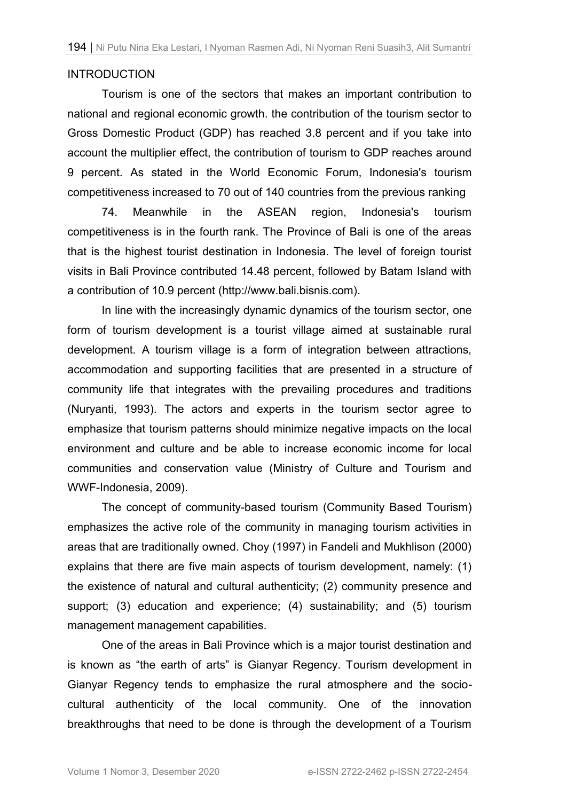### INTRODUCTION

Tourism is one of the sectors that makes an important contribution to national and regional economic growth. the contribution of the tourism sector to Gross Domestic Product (GDP) has reached 3.8 percent and if you take into account the multiplier effect, the contribution of tourism to GDP reaches around 9 percent. As stated in the World Economic Forum, Indonesia's tourism competitiveness increased to 70 out of 140 countries from the previous ranking

74. Meanwhile in the ASEAN region, Indonesia's tourism competitiveness is in the fourth rank. The Province of Bali is one of the areas that is the highest tourist destination in Indonesia. The level of foreign tourist visits in Bali Province contributed 14.48 percent, followed by Batam Island with a contribution of 10.9 percent (http://www.bali.bisnis.com).

In line with the increasingly dynamic dynamics of the tourism sector, one form of tourism development is a tourist village aimed at sustainable rural development. A tourism village is a form of integration between attractions, accommodation and supporting facilities that are presented in a structure of community life that integrates with the prevailing procedures and traditions (Nuryanti, 1993). The actors and experts in the tourism sector agree to emphasize that tourism patterns should minimize negative impacts on the local environment and culture and be able to increase economic income for local communities and conservation value (Ministry of Culture and Tourism and WWF-Indonesia, 2009).

The concept of community-based tourism (Community Based Tourism) emphasizes the active role of the community in managing tourism activities in areas that are traditionally owned. Choy (1997) in Fandeli and Mukhlison (2000) explains that there are five main aspects of tourism development, namely: (1) the existence of natural and cultural authenticity; (2) community presence and support; (3) education and experience; (4) sustainability; and (5) tourism management management capabilities.

One of the areas in Bali Province which is a major tourist destination and is known as "the earth of arts" is Gianyar Regency. Tourism development in Gianyar Regency tends to emphasize the rural atmosphere and the sociocultural authenticity of the local community. One of the innovation breakthroughs that need to be done is through the development of a Tourism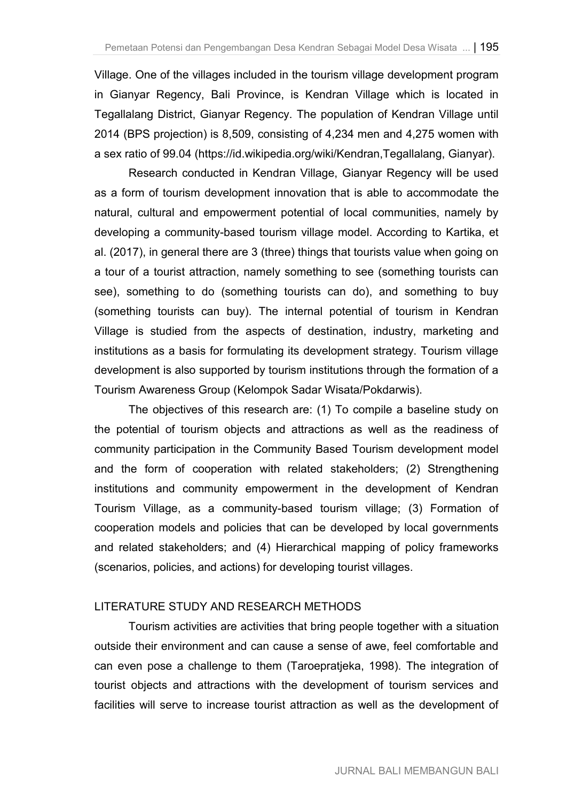Village. One of the villages included in the tourism village development program in Gianyar Regency, Bali Province, is Kendran Village which is located in Tegallalang District, Gianyar Regency. The population of Kendran Village until 2014 (BPS projection) is 8,509, consisting of 4,234 men and 4,275 women with a sex ratio of 99.04 (https://id.wikipedia.org/wiki/Kendran,Tegallalang, Gianyar).

Research conducted in Kendran Village, Gianyar Regency will be used as a form of tourism development innovation that is able to accommodate the natural, cultural and empowerment potential of local communities, namely by developing a community-based tourism village model. According to Kartika, et al. (2017), in general there are 3 (three) things that tourists value when going on a tour of a tourist attraction, namely something to see (something tourists can see), something to do (something tourists can do), and something to buy (something tourists can buy). The internal potential of tourism in Kendran Village is studied from the aspects of destination, industry, marketing and institutions as a basis for formulating its development strategy. Tourism village development is also supported by tourism institutions through the formation of a Tourism Awareness Group (Kelompok Sadar Wisata/Pokdarwis).

The objectives of this research are: (1) To compile a baseline study on the potential of tourism objects and attractions as well as the readiness of community participation in the Community Based Tourism development model and the form of cooperation with related stakeholders; (2) Strengthening institutions and community empowerment in the development of Kendran Tourism Village, as a community-based tourism village; (3) Formation of cooperation models and policies that can be developed by local governments and related stakeholders; and (4) Hierarchical mapping of policy frameworks (scenarios, policies, and actions) for developing tourist villages.

## LITERATURE STUDY AND RESEARCH METHODS

Tourism activities are activities that bring people together with a situation outside their environment and can cause a sense of awe, feel comfortable and can even pose a challenge to them (Taroepratjeka, 1998). The integration of tourist objects and attractions with the development of tourism services and facilities will serve to increase tourist attraction as well as the development of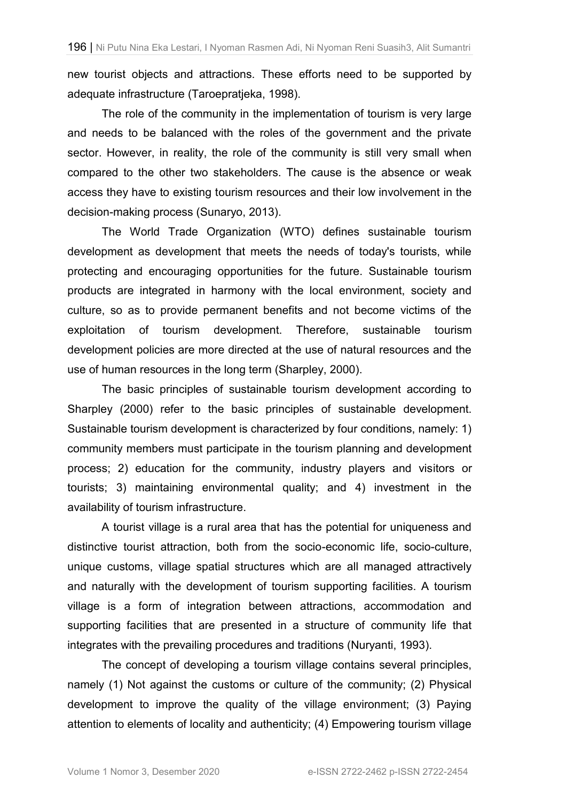new tourist objects and attractions. These efforts need to be supported by adequate infrastructure (Taroepratjeka, 1998).

The role of the community in the implementation of tourism is very large and needs to be balanced with the roles of the government and the private sector. However, in reality, the role of the community is still very small when compared to the other two stakeholders. The cause is the absence or weak access they have to existing tourism resources and their low involvement in the decision-making process (Sunaryo, 2013).

The World Trade Organization (WTO) defines sustainable tourism development as development that meets the needs of today's tourists, while protecting and encouraging opportunities for the future. Sustainable tourism products are integrated in harmony with the local environment, society and culture, so as to provide permanent benefits and not become victims of the exploitation of tourism development. Therefore, sustainable tourism development policies are more directed at the use of natural resources and the use of human resources in the long term (Sharpley, 2000).

The basic principles of sustainable tourism development according to Sharpley (2000) refer to the basic principles of sustainable development. Sustainable tourism development is characterized by four conditions, namely: 1) community members must participate in the tourism planning and development process; 2) education for the community, industry players and visitors or tourists; 3) maintaining environmental quality; and 4) investment in the availability of tourism infrastructure.

A tourist village is a rural area that has the potential for uniqueness and distinctive tourist attraction, both from the socio-economic life, socio-culture, unique customs, village spatial structures which are all managed attractively and naturally with the development of tourism supporting facilities. A tourism village is a form of integration between attractions, accommodation and supporting facilities that are presented in a structure of community life that integrates with the prevailing procedures and traditions (Nuryanti, 1993).

The concept of developing a tourism village contains several principles, namely (1) Not against the customs or culture of the community; (2) Physical development to improve the quality of the village environment; (3) Paying attention to elements of locality and authenticity; (4) Empowering tourism village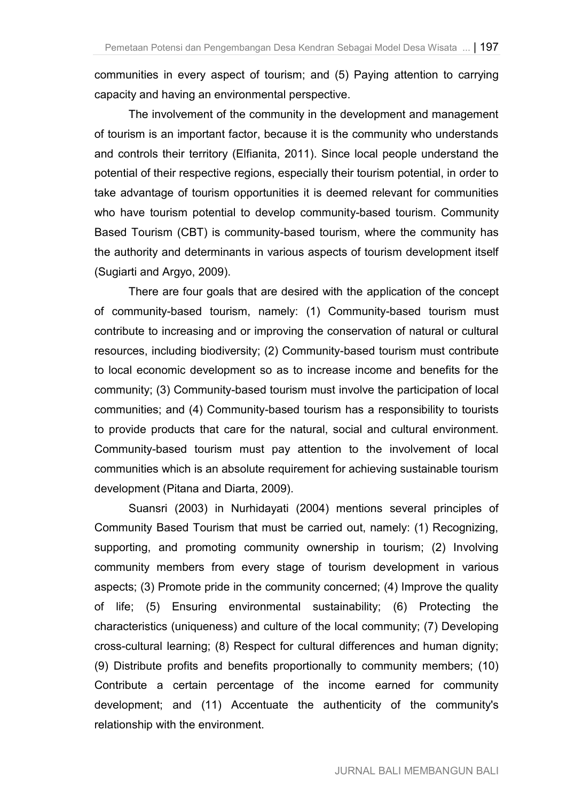communities in every aspect of tourism; and (5) Paying attention to carrying capacity and having an environmental perspective.

The involvement of the community in the development and management of tourism is an important factor, because it is the community who understands and controls their territory (Elfianita, 2011). Since local people understand the potential of their respective regions, especially their tourism potential, in order to take advantage of tourism opportunities it is deemed relevant for communities who have tourism potential to develop community-based tourism. Community Based Tourism (CBT) is community-based tourism, where the community has the authority and determinants in various aspects of tourism development itself (Sugiarti and Argyo, 2009).

There are four goals that are desired with the application of the concept of community-based tourism, namely: (1) Community-based tourism must contribute to increasing and or improving the conservation of natural or cultural resources, including biodiversity; (2) Community-based tourism must contribute to local economic development so as to increase income and benefits for the community; (3) Community-based tourism must involve the participation of local communities; and (4) Community-based tourism has a responsibility to tourists to provide products that care for the natural, social and cultural environment. Community-based tourism must pay attention to the involvement of local communities which is an absolute requirement for achieving sustainable tourism development (Pitana and Diarta, 2009).

Suansri (2003) in Nurhidayati (2004) mentions several principles of Community Based Tourism that must be carried out, namely: (1) Recognizing, supporting, and promoting community ownership in tourism; (2) Involving community members from every stage of tourism development in various aspects; (3) Promote pride in the community concerned; (4) Improve the quality of life; (5) Ensuring environmental sustainability; (6) Protecting the characteristics (uniqueness) and culture of the local community; (7) Developing cross-cultural learning; (8) Respect for cultural differences and human dignity; (9) Distribute profits and benefits proportionally to community members; (10) Contribute a certain percentage of the income earned for community development; and (11) Accentuate the authenticity of the community's relationship with the environment.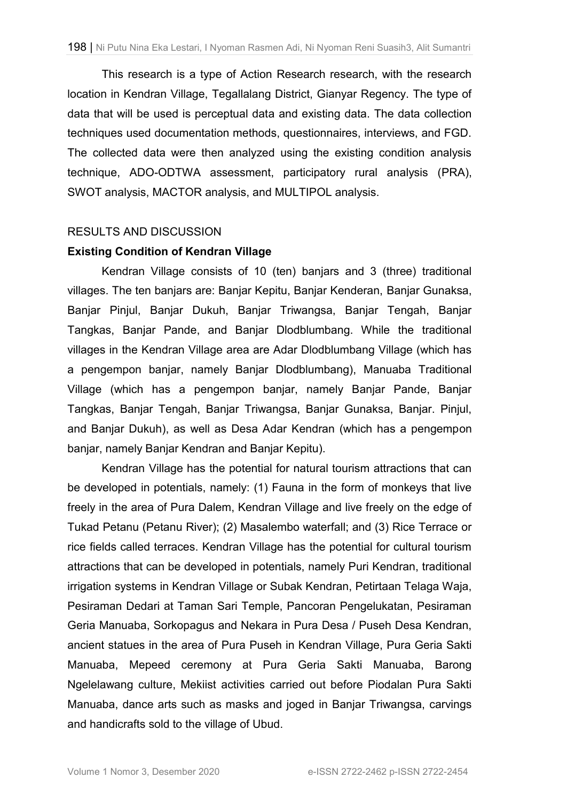This research is a type of Action Research research, with the research location in Kendran Village, Tegallalang District, Gianyar Regency. The type of data that will be used is perceptual data and existing data. The data collection techniques used documentation methods, questionnaires, interviews, and FGD. The collected data were then analyzed using the existing condition analysis technique, ADO-ODTWA assessment, participatory rural analysis (PRA), SWOT analysis, MACTOR analysis, and MULTIPOL analysis.

### RESULTS AND DISCUSSION

### **Existing Condition of Kendran Village**

Kendran Village consists of 10 (ten) banjars and 3 (three) traditional villages. The ten banjars are: Banjar Kepitu, Banjar Kenderan, Banjar Gunaksa, Banjar Pinjul, Banjar Dukuh, Banjar Triwangsa, Banjar Tengah, Banjar Tangkas, Banjar Pande, and Banjar Dlodblumbang. While the traditional villages in the Kendran Village area are Adar Dlodblumbang Village (which has a pengempon banjar, namely Banjar Dlodblumbang), Manuaba Traditional Village (which has a pengempon banjar, namely Banjar Pande, Banjar Tangkas, Banjar Tengah, Banjar Triwangsa, Banjar Gunaksa, Banjar. Pinjul, and Banjar Dukuh), as well as Desa Adar Kendran (which has a pengempon banjar, namely Banjar Kendran and Banjar Kepitu).

Kendran Village has the potential for natural tourism attractions that can be developed in potentials, namely: (1) Fauna in the form of monkeys that live freely in the area of Pura Dalem, Kendran Village and live freely on the edge of Tukad Petanu (Petanu River); (2) Masalembo waterfall; and (3) Rice Terrace or rice fields called terraces. Kendran Village has the potential for cultural tourism attractions that can be developed in potentials, namely Puri Kendran, traditional irrigation systems in Kendran Village or Subak Kendran, Petirtaan Telaga Waja, Pesiraman Dedari at Taman Sari Temple, Pancoran Pengelukatan, Pesiraman Geria Manuaba, Sorkopagus and Nekara in Pura Desa / Puseh Desa Kendran, ancient statues in the area of Pura Puseh in Kendran Village, Pura Geria Sakti Manuaba, Mepeed ceremony at Pura Geria Sakti Manuaba, Barong Ngelelawang culture, Mekiist activities carried out before Piodalan Pura Sakti Manuaba, dance arts such as masks and joged in Banjar Triwangsa, carvings and handicrafts sold to the village of Ubud.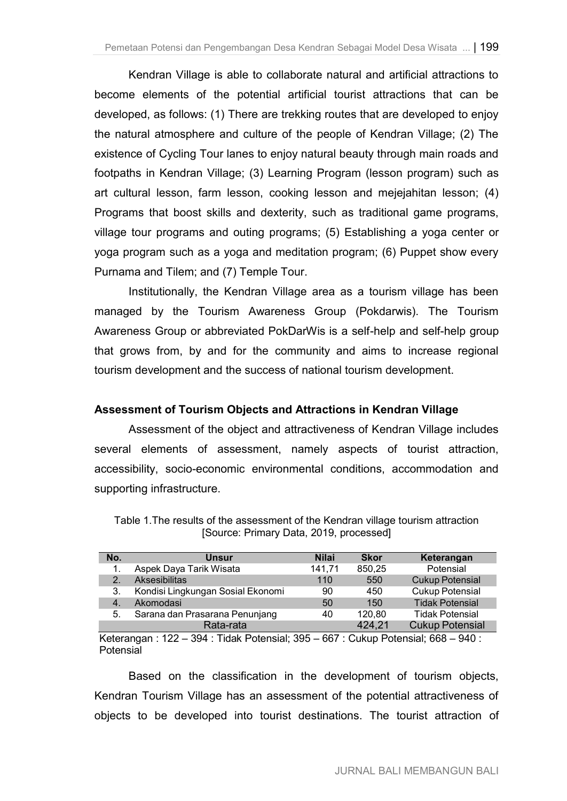Kendran Village is able to collaborate natural and artificial attractions to become elements of the potential artificial tourist attractions that can be developed, as follows: (1) There are trekking routes that are developed to enjoy the natural atmosphere and culture of the people of Kendran Village; (2) The existence of Cycling Tour lanes to enjoy natural beauty through main roads and footpaths in Kendran Village; (3) Learning Program (lesson program) such as art cultural lesson, farm lesson, cooking lesson and mejejahitan lesson; (4) Programs that boost skills and dexterity, such as traditional game programs, village tour programs and outing programs; (5) Establishing a yoga center or yoga program such as a yoga and meditation program; (6) Puppet show every Purnama and Tilem; and (7) Temple Tour.

Institutionally, the Kendran Village area as a tourism village has been managed by the Tourism Awareness Group (Pokdarwis). The Tourism Awareness Group or abbreviated PokDarWis is a self-help and self-help group that grows from, by and for the community and aims to increase regional tourism development and the success of national tourism development.

## **Assessment of Tourism Objects and Attractions in Kendran Village**

Assessment of the object and attractiveness of Kendran Village includes several elements of assessment, namely aspects of tourist attraction, accessibility, socio-economic environmental conditions, accommodation and supporting infrastructure.

| No.            | <b>Unsur</b>                      | <b>Nilai</b> | <b>Skor</b> | Keterangan             |
|----------------|-----------------------------------|--------------|-------------|------------------------|
|                | Aspek Daya Tarik Wisata           | 141,71       | 850,25      | Potensial              |
| $\overline{2}$ | <b>Aksesibilitas</b>              | 110          | 550         | <b>Cukup Potensial</b> |
| 3.             | Kondisi Lingkungan Sosial Ekonomi | 90           | 450         | <b>Cukup Potensial</b> |
| 4.             | Akomodasi                         | 50           | 150         | <b>Tidak Potensial</b> |
| 5.             | Sarana dan Prasarana Penunjang    | 40           | 120,80      | <b>Tidak Potensial</b> |
|                | Rata-rata                         |              | 424.21      | <b>Cukup Potensial</b> |

Table 1.The results of the assessment of the Kendran village tourism attraction [Source: Primary Data, 2019, processed]

Keterangan : 122  $-$  394 : Tidak Potensial; 395  $-$  667 : Cukup Potensial; 668  $-$  940 : Potensial

Based on the classification in the development of tourism objects, Kendran Tourism Village has an assessment of the potential attractiveness of objects to be developed into tourist destinations. The tourist attraction of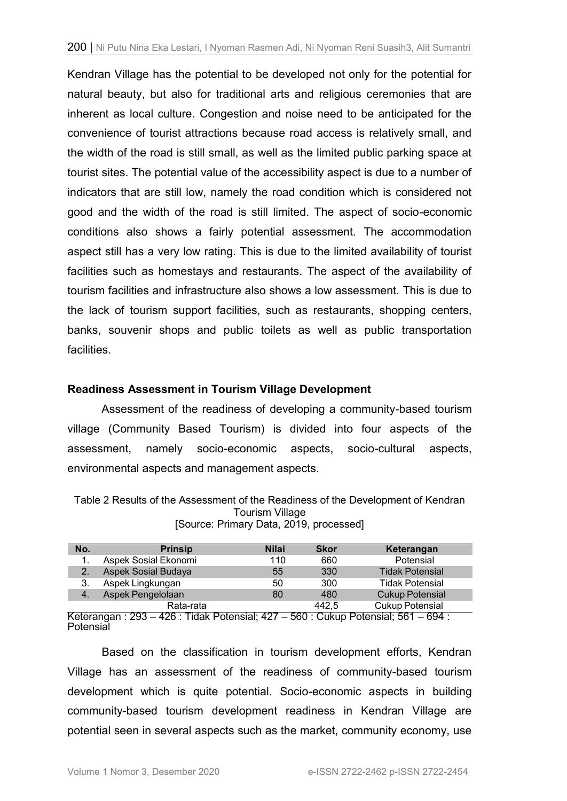Kendran Village has the potential to be developed not only for the potential for natural beauty, but also for traditional arts and religious ceremonies that are inherent as local culture. Congestion and noise need to be anticipated for the convenience of tourist attractions because road access is relatively small, and the width of the road is still small, as well as the limited public parking space at tourist sites. The potential value of the accessibility aspect is due to a number of indicators that are still low, namely the road condition which is considered not good and the width of the road is still limited. The aspect of socio-economic conditions also shows a fairly potential assessment. The accommodation aspect still has a very low rating. This is due to the limited availability of tourist facilities such as homestays and restaurants. The aspect of the availability of tourism facilities and infrastructure also shows a low assessment. This is due to the lack of tourism support facilities, such as restaurants, shopping centers, banks, souvenir shops and public toilets as well as public transportation facilities.

### **Readiness Assessment in Tourism Village Development**

Assessment of the readiness of developing a community-based tourism village (Community Based Tourism) is divided into four aspects of the assessment, namely socio-economic aspects, socio-cultural aspects, environmental aspects and management aspects.

Table 2 Results of the Assessment of the Readiness of the Development of Kendran Tourism Village [Source: Primary Data, 2019, processed]

| No.   | <b>Prinsip</b>       | <b>Nilai</b> | <b>Skor</b> | Keterangan             |
|-------|----------------------|--------------|-------------|------------------------|
|       | Aspek Sosial Ekonomi | 110          | 660         | Potensial              |
|       | Aspek Sosial Budaya  | 55           | 330         | <b>Tidak Potensial</b> |
| 3.    | Aspek Lingkungan     | 50           | 300         | <b>Tidak Potensial</b> |
| $-4.$ | Aspek Pengelolaan    | 80           | 480         | <b>Cukup Potensial</b> |
|       | Rata-rata            |              | 442.5       | <b>Cukup Potensial</b> |

Keterangan : 293 – 426 : Tidak Potensial; 427 – 560 : Cukup Potensial; 561 – 694 : Potensial

Based on the classification in tourism development efforts, Kendran Village has an assessment of the readiness of community-based tourism development which is quite potential. Socio-economic aspects in building community-based tourism development readiness in Kendran Village are potential seen in several aspects such as the market, community economy, use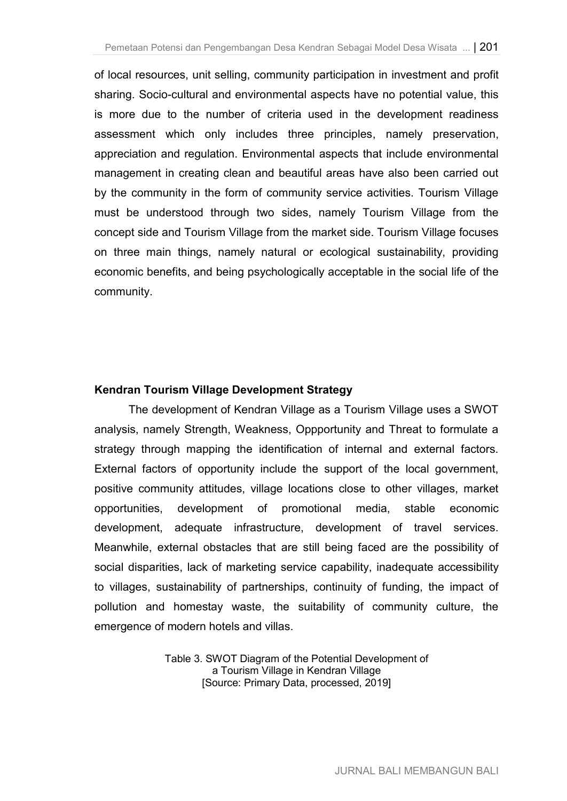of local resources, unit selling, community participation in investment and profit sharing. Socio-cultural and environmental aspects have no potential value, this is more due to the number of criteria used in the development readiness assessment which only includes three principles, namely preservation, appreciation and regulation. Environmental aspects that include environmental management in creating clean and beautiful areas have also been carried out by the community in the form of community service activities. Tourism Village must be understood through two sides, namely Tourism Village from the concept side and Tourism Village from the market side. Tourism Village focuses on three main things, namely natural or ecological sustainability, providing economic benefits, and being psychologically acceptable in the social life of the community.

## **Kendran Tourism Village Development Strategy**

The development of Kendran Village as a Tourism Village uses a SWOT analysis, namely Strength, Weakness, Oppportunity and Threat to formulate a strategy through mapping the identification of internal and external factors. External factors of opportunity include the support of the local government, positive community attitudes, village locations close to other villages, market opportunities, development of promotional media, stable economic development, adequate infrastructure, development of travel services. Meanwhile, external obstacles that are still being faced are the possibility of social disparities, lack of marketing service capability, inadequate accessibility to villages, sustainability of partnerships, continuity of funding, the impact of pollution and homestay waste, the suitability of community culture, the emergence of modern hotels and villas.

> Table 3. SWOT Diagram of the Potential Development of a Tourism Village in Kendran Village [Source: Primary Data, processed, 2019]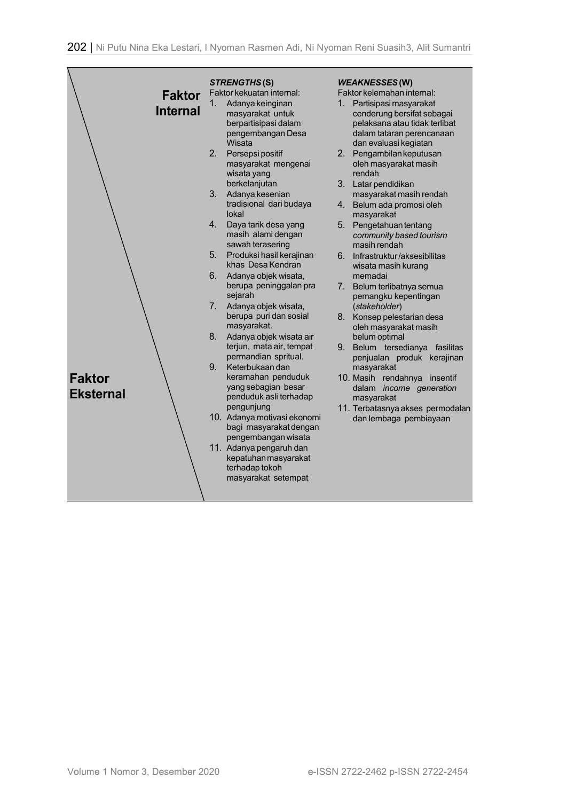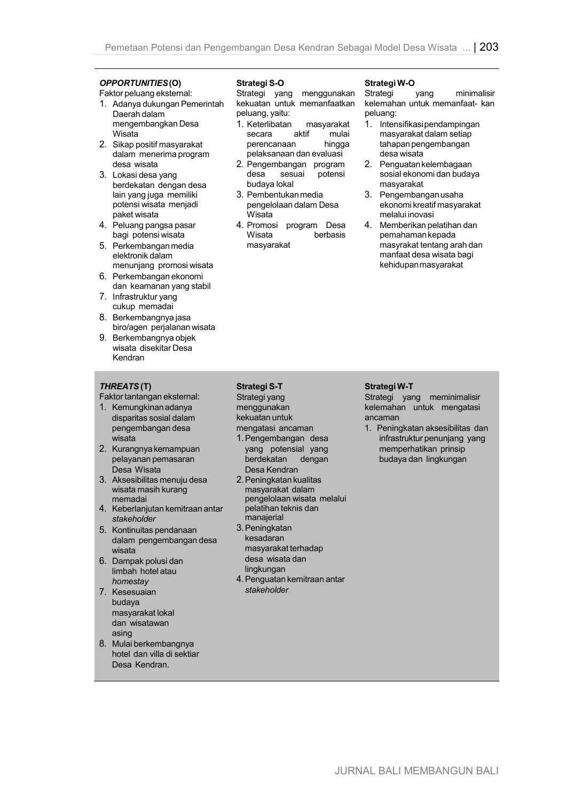## *OPPORTUNITIES* **(O)**

Faktor peluang eksternal:

- 1. Adanya dukungan Pemerintah Daerah dalam mengembangkan Desa Wisata
- 2. Sikap positif masyarakat dalam menerima program desa wisata
- 3. Lokasi desa yang berdekatan dengan desa lain yang juga memiliki potensi wisata menjadi paket wisata
- 4. Peluang pangsa pasar bagi potensi wisata
- 5. Perkembangan media elektronik dalam menunjang promosi wisata
- 6. Perkembangan ekonomi dan keamanan yang stabil
- 7. Infrastruktur yang cukup memadai
- 8. Berkembangnya jasa biro/agen perjalanan wisata
- 9. Berkembangnya objek wisata disekitar Desa Kendran

#### *THREATS* **(T)**

Faktor tantangan eksternal:

- 1. Kemungkinan adanya disparitas sosial dalam pengembangan desa wisata
- 2. Kurangnya kemampuan pelayanan pemasaran Desa Wisata
- 3. Aksesibilitas menuju desa wisata masih kurang memadai
- 4. Keberlanjutan kemitraan antar *stakeholder*
- 5. Kontinuitas pendanaan dalam pengembangan desa wisata
- 6. Dampak polusi dan limbah hotel atau *homestay*
- 7. Kesesuaian budaya masyarakat lokal dan wisatawan asing
- 8. Mulai berkembangnya hotel dan villa di sektiar Desa Kendran.

#### **Strategi S-O**

Strategi yang menggunakan kekuatan untuk memanfaatkan peluang, yaitu:

- 1. Keterlibatan masyarakat secara perencanaan hingga pelaksanaan dan evaluasi
- 2. Pengembangan program desa sesuai potensi budaya lokal
- 3. Pembentukan media pengelolaan dalam Desa Wisata
- 4. Promosi program Desa berbasis masyarakat

#### **Strategi W-O**

Strategi vang minimalisir kelemahan untuk memanfaat- kan peluang:

- 1. Intensifikasi pendampingan masyarakat dalam setiap tahapan pengembangan desa wisata
- 2. Penguatan kelembagaan sosial ekonomi dan budaya masyarakat
- 3. Pengembangan usaha ekonomi kreatif masyarakat melalui inovasi
- 4. Memberikan pelatihan dan pemahaman kepada masyrakat tentang arah dan manfaat desa wisata bagi kehidupan masyarakat

#### **Strategi S-T**

Strategi yang menggunakan kekuatan untuk mengatasi ancaman

- 1. Pengembangan desa yang potensial yang berdekatan dengan Desa Kendran
- 2. Peningkatan kualitas masyarakat dalam pengelolaan wisata melalui pelatihan teknis dan manajerial
- 3. Peningkatan kesadaran masyarakat terhadap desa wisata dan lingkungan
- 4. Penguatan kemitraan antar *stakeholder*

#### **Strategi W-T**

Strategi yang meminimalisir kelemahan untuk mengatasi ancaman

1. Peningkatan aksesibilitas dan infrastruktur penunjang yang memperhatikan prinsip budaya dan lingkungan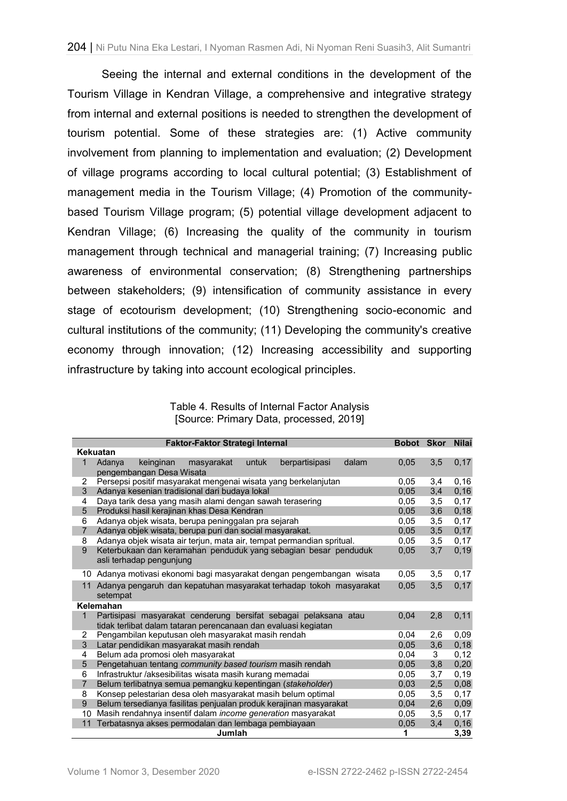Seeing the internal and external conditions in the development of the Tourism Village in Kendran Village, a comprehensive and integrative strategy from internal and external positions is needed to strengthen the development of tourism potential. Some of these strategies are: (1) Active community involvement from planning to implementation and evaluation; (2) Development of village programs according to local cultural potential; (3) Establishment of management media in the Tourism Village; (4) Promotion of the communitybased Tourism Village program; (5) potential village development adjacent to Kendran Village; (6) Increasing the quality of the community in tourism management through technical and managerial training; (7) Increasing public awareness of environmental conservation; (8) Strengthening partnerships between stakeholders; (9) intensification of community assistance in every stage of ecotourism development; (10) Strengthening socio-economic and cultural institutions of the community; (11) Developing the community's creative economy through innovation; (12) Increasing accessibility and supporting infrastructure by taking into account ecological principles.

Table 4. Results of Internal Factor Analysis [Source: Primary Data, processed, 2019]

|                | Faktor-Faktor Strategi Internal                                                                   | Bobot Skor Nilai |     |       |
|----------------|---------------------------------------------------------------------------------------------------|------------------|-----|-------|
|                | <b>Kekuatan</b>                                                                                   |                  |     |       |
| $\mathbf{1}$   | dalam<br>Adanya<br>untuk<br>berpartisipasi<br>keinginan<br>masyarakat<br>pengembangan Desa Wisata | 0,05             | 3,5 | 0,17  |
| 2              | Persepsi positif masyarakat mengenai wisata yang berkelanjutan                                    | 0.05             | 3,4 | 0, 16 |
| 3              | Adanya kesenian tradisional dari budaya lokal                                                     | 0,05             | 3,4 | 0, 16 |
| 4              | Daya tarik desa yang masih alami dengan sawah terasering                                          | 0.05             | 3,5 | 0,17  |
| 5              | Produksi hasil kerajinan khas Desa Kendran                                                        | 0,05             | 3,6 | 0,18  |
| 6              | Adanya objek wisata, berupa peninggalan pra sejarah                                               | 0.05             | 3,5 | 0,17  |
| $\overline{7}$ | Adanya objek wisata, berupa puri dan social masyarakat.                                           | 0.05             | 3,5 | 0,17  |
| 8              | Adanya objek wisata air terjun, mata air, tempat permandian spritual.                             | 0,05             | 3,5 | 0,17  |
| 9              | Keterbukaan dan keramahan penduduk yang sebagian besar penduduk<br>asli terhadap pengunjung       | 0,05             | 3,7 | 0, 19 |
| 10             | Adanya motivasi ekonomi bagi masyarakat dengan pengembangan wisata                                | 0.05             | 3,5 | 0,17  |
| 11             | Adanya pengaruh dan kepatuhan masyarakat terhadap tokoh masyarakat<br>setempat                    | 0,05             | 3,5 | 0,17  |
|                | Kelemahan                                                                                         |                  |     |       |
| 1              | Partisipasi masyarakat cenderung bersifat sebagai pelaksana atau                                  | 0.04             | 2,8 | 0,11  |
|                | tidak terlibat dalam tataran perencanaan dan evaluasi kegiatan                                    |                  |     |       |
| 2              | Pengambilan keputusan oleh masyarakat masih rendah                                                | 0.04             | 2,6 | 0,09  |
| 3              | Latar pendidikan masyarakat masih rendah                                                          | 0,05             | 3,6 | 0, 18 |
| 4              | Belum ada promosi oleh masyarakat                                                                 | 0.04             | 3   | 0,12  |
| 5              | Pengetahuan tentang community based tourism masih rendah                                          | 0,05             | 3,8 | 0,20  |
| 6              | Infrastruktur /aksesibilitas wisata masih kurang memadai                                          | 0.05             | 3,7 | 0,19  |
| $\overline{7}$ | Belum terlibatnya semua pemangku kepentingan (stakeholder)                                        | 0,03             | 2,5 | 0,08  |
| 8              | Konsep pelestarian desa oleh masyarakat masih belum optimal                                       | 0.05             | 3,5 | 0,17  |
| 9              | Belum tersedianya fasilitas penjualan produk kerajinan masyarakat                                 | 0.04             | 2,6 | 0,09  |
| 10             | Masih rendahnya insentif dalam income generation masyarakat                                       | 0.05             | 3,5 | 0,17  |
| 11             | Terbatasnya akses permodalan dan lembaga pembiayaan                                               | 0,05             | 3,4 | 0,16  |
|                | Jumlah                                                                                            | 1                |     | 3,39  |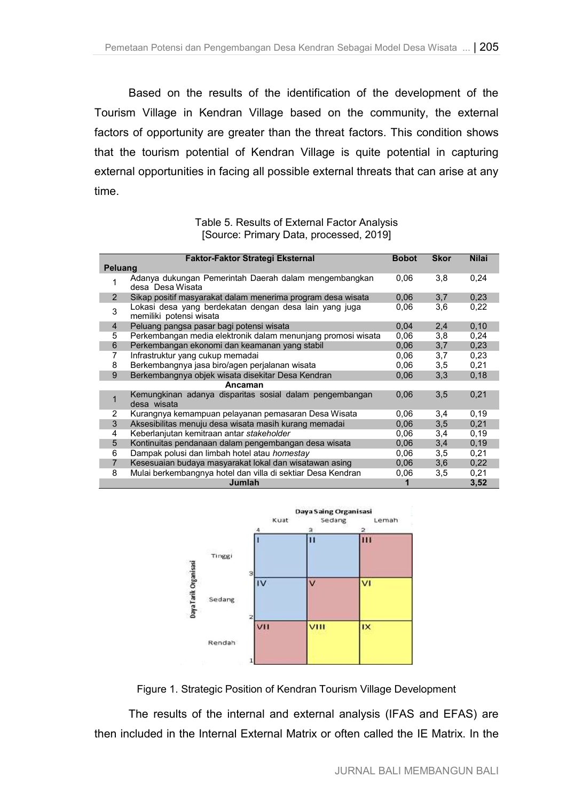Based on the results of the identification of the development of the Tourism Village in Kendran Village based on the community, the external factors of opportunity are greater than the threat factors. This condition shows that the tourism potential of Kendran Village is quite potential in capturing external opportunities in facing all possible external threats that can arise at any time.

### Table 5. Results of External Factor Analysis [Source: Primary Data, processed, 2019]

|                | <b>Faktor-Faktor Strategi Eksternal</b>                                           | <b>Bobot</b> | <b>Skor</b> | <b>Nilai</b> |
|----------------|-----------------------------------------------------------------------------------|--------------|-------------|--------------|
| <b>Peluang</b> |                                                                                   |              |             |              |
| 1              | Adanya dukungan Pemerintah Daerah dalam mengembangkan<br>desa Desa Wisata         | 0.06         | 3,8         | 0,24         |
| 2              | Sikap positif masyarakat dalam menerima program desa wisata                       | 0,06         | 3,7         | 0,23         |
| 3              | Lokasi desa yang berdekatan dengan desa lain yang juga<br>memiliki potensi wisata | 0.06         | 3,6         | 0,22         |
| $\overline{4}$ | Peluang pangsa pasar bagi potensi wisata                                          | 0,04         | 2,4         | 0,10         |
| 5              | Perkembangan media elektronik dalam menunjang promosi wisata                      | 0.06         | 3,8         | 0,24         |
| 6              | Perkembangan ekonomi dan keamanan yang stabil                                     | 0,06         | 3,7         | 0,23         |
| 7              | Infrastruktur yang cukup memadai                                                  | 0.06         | 3,7         | 0.23         |
| 8              | Berkembangnya jasa biro/agen perjalanan wisata                                    | 0.06         | 3,5         | 0,21         |
| 9              | Berkembangnya objek wisata disekitar Desa Kendran                                 | 0,06         | 3,3         | 0,18         |
|                | Ancaman                                                                           |              |             |              |
| 1              | Kemungkinan adanya disparitas sosial dalam pengembangan<br>desa wisata            | 0.06         | 3,5         | 0,21         |
| 2              | Kurangnya kemampuan pelayanan pemasaran Desa Wisata                               | 0.06         | 3,4         | 0.19         |
| 3              | Aksesibilitas menuju desa wisata masih kurang memadai                             | 0,06         | 3,5         | 0.21         |
| 4              | Keberlanjutan kemitraan antar stakeholder                                         | 0.06         | 3,4         | 0,19         |
| 5              | Kontinuitas pendanaan dalam pengembangan desa wisata                              | 0,06         | 3,4         | 0.19         |
| 6              | Dampak polusi dan limbah hotel atau homestay                                      | 0.06         | 3,5         | 0,21         |
| 7              | Kesesuaian budaya masyarakat lokal dan wisatawan asing                            | 0,06         | 3,6         | 0,22         |
| 8              | Mulai berkembangnya hotel dan villa di sektiar Desa Kendran                       | 0,06         | 3,5         | 0,21         |
|                | Jumlah                                                                            |              |             | 3,52         |



Figure 1. Strategic Position of Kendran Tourism Village Development

The results of the internal and external analysis (IFAS and EFAS) are then included in the Internal External Matrix or often called the IE Matrix. In the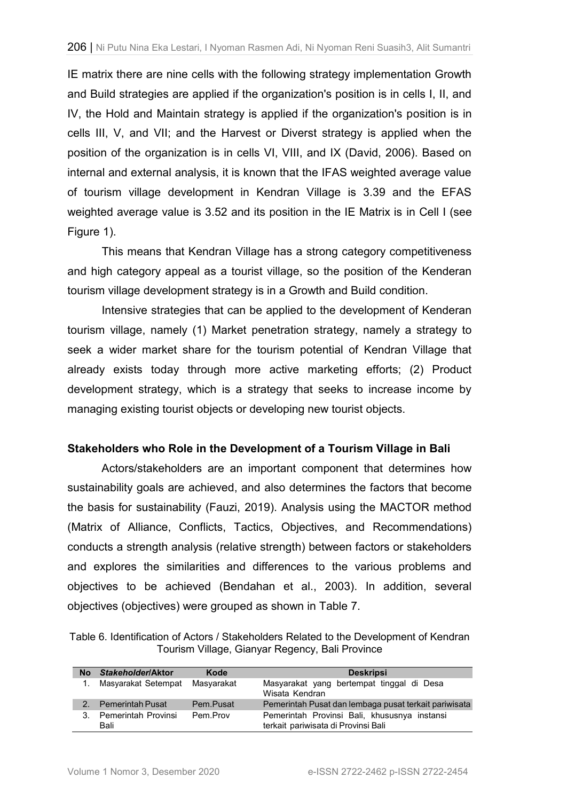IE matrix there are nine cells with the following strategy implementation Growth and Build strategies are applied if the organization's position is in cells I, II, and IV, the Hold and Maintain strategy is applied if the organization's position is in cells III, V, and VII; and the Harvest or Diverst strategy is applied when the position of the organization is in cells VI, VIII, and IX (David, 2006). Based on internal and external analysis, it is known that the IFAS weighted average value of tourism village development in Kendran Village is 3.39 and the EFAS weighted average value is 3.52 and its position in the IE Matrix is in Cell I (see Figure 1).

This means that Kendran Village has a strong category competitiveness and high category appeal as a tourist village, so the position of the Kenderan tourism village development strategy is in a Growth and Build condition.

Intensive strategies that can be applied to the development of Kenderan tourism village, namely (1) Market penetration strategy, namely a strategy to seek a wider market share for the tourism potential of Kendran Village that already exists today through more active marketing efforts; (2) Product development strategy, which is a strategy that seeks to increase income by managing existing tourist objects or developing new tourist objects.

### **Stakeholders who Role in the Development of a Tourism Village in Bali**

Actors/stakeholders are an important component that determines how sustainability goals are achieved, and also determines the factors that become the basis for sustainability (Fauzi, 2019). Analysis using the MACTOR method (Matrix of Alliance, Conflicts, Tactics, Objectives, and Recommendations) conducts a strength analysis (relative strength) between factors or stakeholders and explores the similarities and differences to the various problems and objectives to be achieved (Bendahan et al., 2003). In addition, several objectives (objectives) were grouped as shown in Table 7.

Table 6. Identification of Actors / Stakeholders Related to the Development of Kendran Tourism Village, Gianyar Regency, Bali Province

| No | Stakeholder/Aktor           | Kode       | <b>Deskripsi</b>                                                                    |
|----|-----------------------------|------------|-------------------------------------------------------------------------------------|
|    | Masyarakat Setempat         | Masyarakat | Masyarakat yang bertempat tinggal di Desa<br>Wisata Kendran                         |
|    | <b>Pemerintah Pusat</b>     | Pem.Pusat  | Pemerintah Pusat dan lembaga pusat terkait pariwisata                               |
| 3. | Pemerintah Provinsi<br>Bali | Pem Prov   | Pemerintah Provinsi Bali, khususnya instansi<br>terkait pariwisata di Provinsi Bali |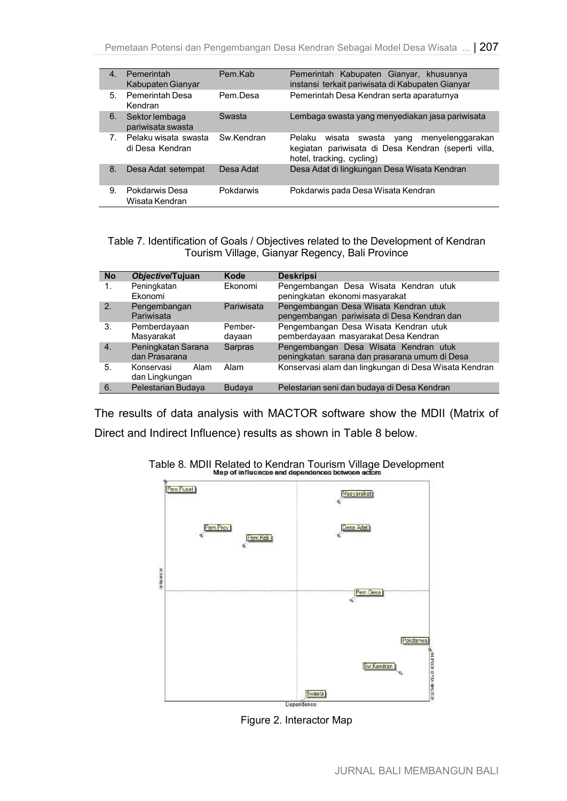| 4 <sup>1</sup> | Pemerintah<br>Kabupaten Gianyar         | Pem Kab    | Pemerintah Kabupaten Gianyar, khususnya<br>instansi terkait pariwisata di Kabupaten Gianyar                                                |
|----------------|-----------------------------------------|------------|--------------------------------------------------------------------------------------------------------------------------------------------|
| 5.             | <b>Pemerintah Desa</b><br>Kendran       | Pem Desa   | Pemerintah Desa Kendran serta aparaturnya                                                                                                  |
| 6.             | Sektor lembaga<br>pariwisata swasta     | Swasta     | Lembaga swasta yang menyediakan jasa pariwisata                                                                                            |
| $7_{-}$        | Pelaku wisata swasta<br>di Desa Kendran | Sw Kendran | Pelaku<br>menyelenggarakan<br>wisata<br>swasta<br>yang<br>kegiatan pariwisata di Desa Kendran (seperti villa,<br>hotel, tracking, cycling) |
| 8.             | Desa Adat setempat                      | Desa Adat  | Desa Adat di lingkungan Desa Wisata Kendran                                                                                                |
| 9.             | Pokdarwis Desa<br>Wisata Kendran        | Pokdarwis  | Pokdarwis pada Desa Wisata Kendran                                                                                                         |

Table 7. Identification of Goals / Objectives related to the Development of Kendran Tourism Village, Gianyar Regency, Bali Province

| <b>No</b>        | Objective/Tujuan                     | Kode              | <b>Deskripsi</b>                                                                       |  |  |  |  |
|------------------|--------------------------------------|-------------------|----------------------------------------------------------------------------------------|--|--|--|--|
| 1.               | Peningkatan<br>Ekonomi               | Ekonomi           | Pengembangan Desa Wisata Kendran utuk<br>peningkatan ekonomi masyarakat                |  |  |  |  |
| 2.               | Pengembangan<br>Pariwisata           | Pariwisata        | Pengembangan Desa Wisata Kendran utuk<br>pengembangan pariwisata di Desa Kendran dan   |  |  |  |  |
| 3.               | Pemberdayaan<br>Masyarakat           | Pember-<br>dayaan | Pengembangan Desa Wisata Kendran utuk<br>pemberdayaan masyarakat Desa Kendran          |  |  |  |  |
| $\overline{4}$ . | Peningkatan Sarana<br>dan Prasarana  | Sarpras           | Pengembangan Desa Wisata Kendran utuk<br>peningkatan sarana dan prasarana umum di Desa |  |  |  |  |
| 5.               | Konservasi<br>Alam<br>dan Lingkungan | Alam              | Konservasi alam dan lingkungan di Desa Wisata Kendran                                  |  |  |  |  |
| 6                | Pelestarian Budaya                   | <b>Budaya</b>     | Pelestarian seni dan budaya di Desa Kendran                                            |  |  |  |  |

The results of data analysis with MACTOR software show the MDII (Matrix of Direct and Indirect Influence) results as shown in Table 8 below.



Table 8. MDII Related to Kendran Tourism Village Development<br>Map of influences and dependences between actors

Figure 2. Interactor Map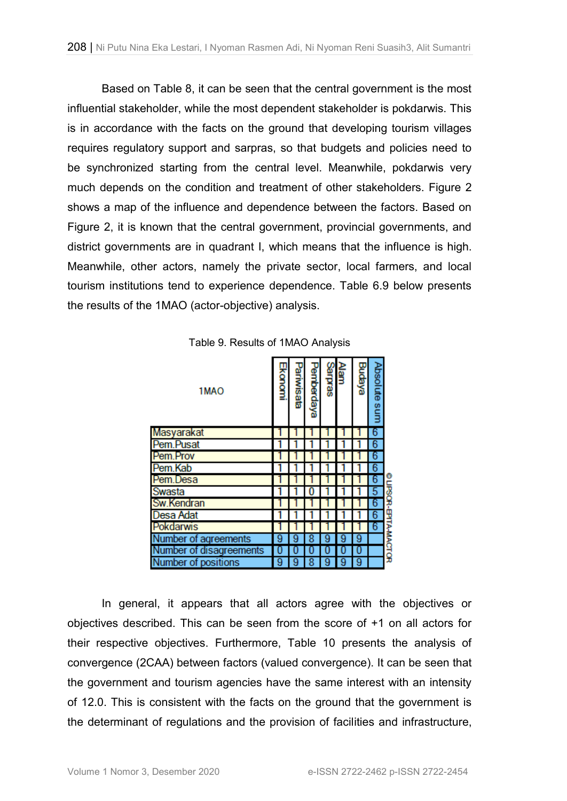Based on Table 8, it can be seen that the central government is the most influential stakeholder, while the most dependent stakeholder is pokdarwis. This is in accordance with the facts on the ground that developing tourism villages requires regulatory support and sarpras, so that budgets and policies need to be synchronized starting from the central level. Meanwhile, pokdarwis very much depends on the condition and treatment of other stakeholders. Figure 2 shows a map of the influence and dependence between the factors. Based on Figure 2, it is known that the central government, provincial governments, and district governments are in quadrant I, which means that the influence is high. Meanwhile, other actors, namely the private sector, local farmers, and local tourism institutions tend to experience dependence. Table 6.9 below presents the results of the 1MAO (actor-objective) analysis.

| 1MAO                    | Ekonomi | Pariwisata | Pemberdaya | Sarpras | Alam | Budaya | Absolute sum |                       |
|-------------------------|---------|------------|------------|---------|------|--------|--------------|-----------------------|
| Masyarakat              |         |            |            |         |      |        | 6            |                       |
| Pem.Pusat               |         |            |            |         |      |        | 6            |                       |
| Pem.Prov                |         |            |            |         |      |        | 6            |                       |
| Pem.Kab                 |         |            |            |         |      |        | 6            |                       |
| Pem.Desa                |         |            |            |         |      |        | 6            |                       |
| Swasta                  |         |            |            |         |      |        | 5            |                       |
| Sw.Kendran              |         |            |            |         |      |        | 6            |                       |
| <b>Desa Adat</b>        |         |            |            |         |      |        | 6            |                       |
| Pokdarwis               |         |            |            |         |      |        | 6            |                       |
| Number of agreements    | 9       | 9          | 8          |         |      | 9      |              |                       |
| Number of disagreements | U       |            |            |         |      | U      |              | O LIPSOR-EPITA-MACTOR |
| Number of positions     | 9       | 9          | 8          | 9       | 9    | 9      |              |                       |

Table 9. Results of 1MAO Analysis

In general, it appears that all actors agree with the objectives or objectives described. This can be seen from the score of +1 on all actors for their respective objectives. Furthermore, Table 10 presents the analysis of convergence (2CAA) between factors (valued convergence). It can be seen that the government and tourism agencies have the same interest with an intensity of 12.0. This is consistent with the facts on the ground that the government is the determinant of regulations and the provision of facilities and infrastructure,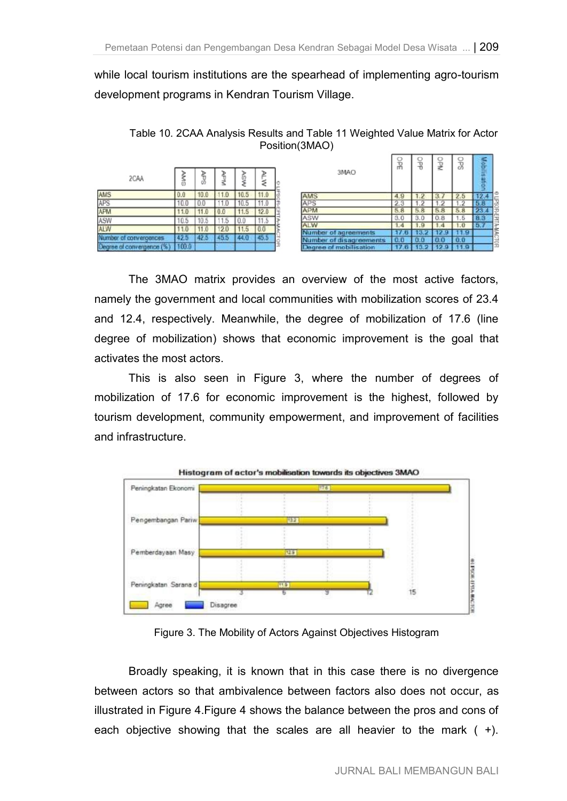while local tourism institutions are the spearhead of implementing agro-tourism development programs in Kendran Tourism Village.

Table 10. 2CAA Analysis Results and Table 11 Weighted Value Matrix for Actor Position(3MAO)

|                        |       | ₽    | ъ    |      | ≥    | 3MAO                   | гň  | 븅   | ₫   | O)   | 0011535 |
|------------------------|-------|------|------|------|------|------------------------|-----|-----|-----|------|---------|
| 2CAA                   | NSS   | й    | ↘    |      | ₹    |                        |     |     |     |      | $\circ$ |
| AMS                    | 0.0   | 10.0 | 11.0 | 10.5 | 11.0 | AMS                    | 4,9 | 1.2 | 3.1 | 2.5  | 24      |
| APS                    | 10.0  | 0.0  | 11.0 | 10.5 | 11.0 | APS                    | 2.3 | 1.2 | 1.2 | 1.2  | 5.8     |
| APM                    | 1.0   | 11.0 | 0.0  | 11.5 | 12.0 | <b>APM</b>             | 5.8 | 5.8 | 5.8 | 5.8  | 23.4    |
| ASW                    | 0.5   | 10.5 | 11.5 | 0.0  | 11.5 | ASW                    | 3.0 | 3.0 | 0.8 | 1.5  | 8.3     |
| <b>ALW</b>             | 1.0   | 1.0  | 12.0 | 1.0  | 0.0  | <b>ALW</b>             | 1.4 | 1.9 | 1.4 | 1.0  | 5.7     |
| Number of convergences | 42.5  | 42.5 | 45.5 |      | 45.5 | r of agreements        |     | 82  |     |      |         |
|                        |       |      |      |      |      | of disagreements       | 0.0 | 0.0 | 0.0 | 0.0  |         |
| ee at convergence      | 100.0 |      |      |      |      | legree of mobilisation |     |     |     | 11.9 |         |

The 3MAO matrix provides an overview of the most active factors, namely the government and local communities with mobilization scores of 23.4 and 12.4, respectively. Meanwhile, the degree of mobilization of 17.6 (line degree of mobilization) shows that economic improvement is the goal that activates the most actors.

This is also seen in Figure 3, where the number of degrees of mobilization of 17.6 for economic improvement is the highest, followed by tourism development, community empowerment, and improvement of facilities and infrastructure.



Figure 3. The Mobility of Actors Against Objectives Histogram

Broadly speaking, it is known that in this case there is no divergence between actors so that ambivalence between factors also does not occur, as illustrated in Figure 4.Figure 4 shows the balance between the pros and cons of each objective showing that the scales are all heavier to the mark  $(+)$ .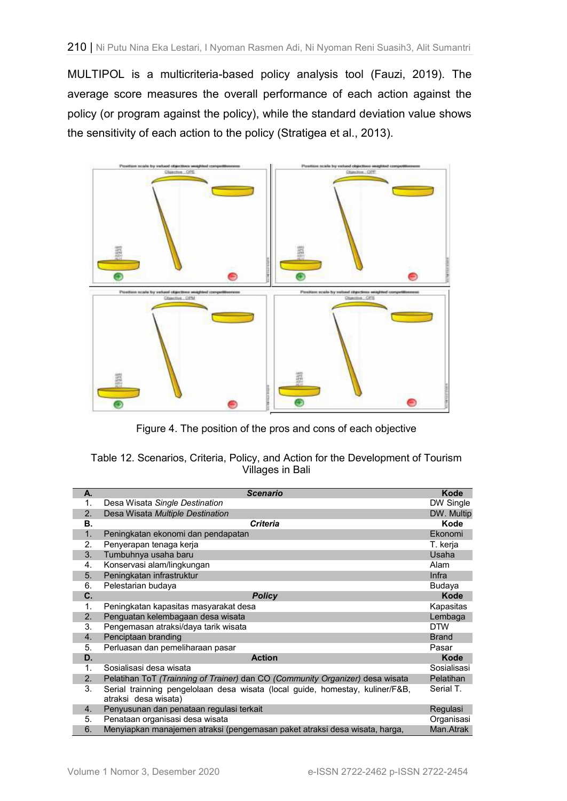MULTIPOL is a multicriteria-based policy analysis tool (Fauzi, 2019). The average score measures the overall performance of each action against the policy (or program against the policy), while the standard deviation value shows the sensitivity of each action to the policy (Stratigea et al., 2013).



Figure 4. The position of the pros and cons of each objective

| Table 12. Scenarios, Criteria, Policy, and Action for the Development of Tourism |  |                  |  |  |  |
|----------------------------------------------------------------------------------|--|------------------|--|--|--|
|                                                                                  |  | Villages in Bali |  |  |  |

| А. | <b>Scenario</b>                                                                                       | Kode         |
|----|-------------------------------------------------------------------------------------------------------|--------------|
| 1. | Desa Wisata Single Destination                                                                        | DW Single    |
| 2. | Desa Wisata Multiple Destination                                                                      | DW. Multip   |
| В. | <b>Criteria</b>                                                                                       | Kode         |
| 1. | Peningkatan ekonomi dan pendapatan                                                                    | Ekonomi      |
| 2. | Penyerapan tenaga kerja                                                                               | T. kerja     |
| 3. | Tumbuhnya usaha baru                                                                                  | Usaha        |
| 4. | Konservasi alam/lingkungan                                                                            | Alam         |
| 5. | Peningkatan infrastruktur                                                                             | Infra        |
| 6. | Pelestarian budaya                                                                                    | Budaya       |
| C. | <b>Policy</b>                                                                                         | Kode         |
| 1. | Peningkatan kapasitas masyarakat desa                                                                 | Kapasitas    |
| 2. | Penguatan kelembagaan desa wisata                                                                     | Lembaga      |
| 3. | Pengemasan atraksi/daya tarik wisata                                                                  | <b>DTW</b>   |
| 4. | Penciptaan branding                                                                                   | <b>Brand</b> |
| 5. | Perluasan dan pemeliharaan pasar                                                                      | Pasar        |
| D. | <b>Action</b>                                                                                         | <b>Kode</b>  |
| 1. | Sosialisasi desa wisata                                                                               | Sosialisasi  |
| 2. | Pelatihan ToT (Trainning of Trainer) dan CO (Community Organizer) desa wisata                         | Pelatihan    |
| 3. | Serial trainning pengelolaan desa wisata (local guide, homestay, kuliner/F&B,<br>atraksi desa wisata) | Serial T.    |
| 4. | Penyusunan dan penataan regulasi terkait                                                              | Regulasi     |
| 5. | Penataan organisasi desa wisata                                                                       | Organisasi   |
| 6. | Menyiapkan manajemen atraksi (pengemasan paket atraksi desa wisata, harga,                            | Man.Atrak    |
|    |                                                                                                       |              |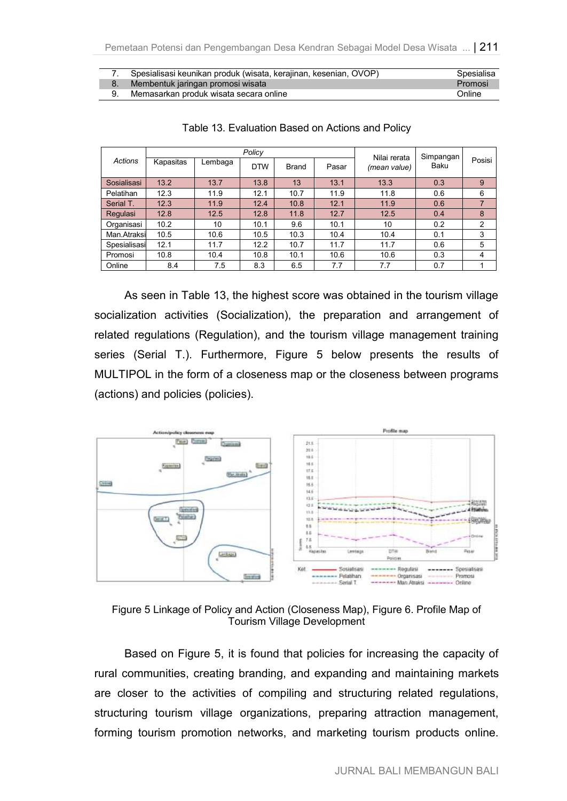| Spesialisasi keunikan produk (wisata, kerajinan, kesenian, OVOP) | Spesialisa |
|------------------------------------------------------------------|------------|
| Membentuk jaringan promosi wisata                                | Promosi    |
| Memasarkan produk wisata secara online                           | Online     |

| Actions      |           |         | Policy     | Nilai rerata | Simpangan |              |      |                |
|--------------|-----------|---------|------------|--------------|-----------|--------------|------|----------------|
|              | Kapasitas | Lembaga | <b>DTW</b> | <b>Brand</b> | Pasar     | (mean value) | Baku | Posisi         |
| Sosialisasi  | 13.2      | 13.7    | 13.8       | 13           | 13.1      | 13.3         | 0.3  | 9              |
| Pelatihan    | 12.3      | 11.9    | 12.1       | 10.7         | 11.9      | 11.8         | 0.6  | 6              |
| Serial T.    | 12.3      | 11.9    | 12.4       | 10.8         | 12.1      | 11.9         | 0.6  | 7              |
| Regulasi     | 12.8      | 12.5    | 12.8       | 11.8         | 12.7      | 12.5         | 0.4  | 8              |
| Organisasi   | 10.2      | 10      | 10.1       | 9.6          | 10.1      | 10           | 0.2  | $\overline{2}$ |
| Man.Atraksi  | 10.5      | 10.6    | 10.5       | 10.3         | 10.4      | 10.4         | 0.1  | 3              |
| Spesialisasi | 12.1      | 11.7    | 12.2       | 10.7         | 11.7      | 11.7         | 0.6  | 5              |
| Promosi      | 10.8      | 10.4    | 10.8       | 10.1         | 10.6      | 10.6         | 0.3  | 4              |
| Online       | 8.4       | 7.5     | 8.3        | 6.5          | 7.7       | 7.7          | 0.7  |                |

### Table 13. Evaluation Based on Actions and Policy

As seen in Table 13, the highest score was obtained in the tourism village socialization activities (Socialization), the preparation and arrangement of related regulations (Regulation), and the tourism village management training series (Serial T.). Furthermore, Figure 5 below presents the results of MULTIPOL in the form of a closeness map or the closeness between programs (actions) and policies (policies).



Figure 5 Linkage of Policy and Action (Closeness Map), Figure 6. Profile Map of Tourism Village Development

Based on Figure 5, it is found that policies for increasing the capacity of rural communities, creating branding, and expanding and maintaining markets are closer to the activities of compiling and structuring related regulations, structuring tourism village organizations, preparing attraction management, forming tourism promotion networks, and marketing tourism products online.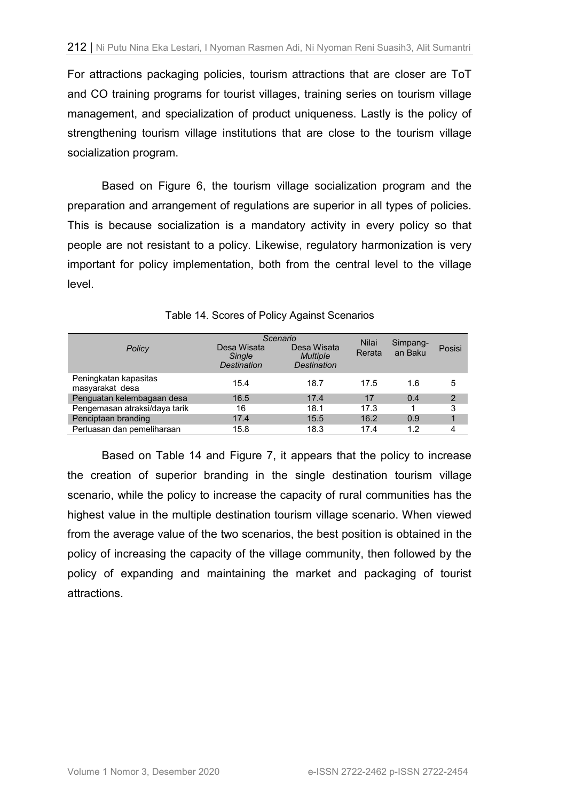For attractions packaging policies, tourism attractions that are closer are ToT and CO training programs for tourist villages, training series on tourism village management, and specialization of product uniqueness. Lastly is the policy of strengthening tourism village institutions that are close to the tourism village socialization program.

Based on Figure 6, the tourism village socialization program and the preparation and arrangement of regulations are superior in all types of policies. This is because socialization is a mandatory activity in every policy so that people are not resistant to a policy. Likewise, regulatory harmonization is very important for policy implementation, both from the central level to the village level.

| Policy                                   | Desa Wisata<br>Single<br>Destination | Scenario<br>Desa Wisata<br><b>Multiple</b><br><b>Destination</b> | <b>Nilai</b><br>Rerata | Simpang-<br>an Baku | Posisi |
|------------------------------------------|--------------------------------------|------------------------------------------------------------------|------------------------|---------------------|--------|
| Peningkatan kapasitas<br>masyarakat desa | 15.4                                 | 18.7                                                             | 17.5                   | 1.6                 | 5      |
| Penguatan kelembagaan desa               | 16.5                                 | 17.4                                                             | 17                     | 0.4                 | 2      |
| Pengemasan atraksi/daya tarik            | 16                                   | 18.1                                                             | 17.3                   |                     | 3      |
| Penciptaan branding                      | 17.4                                 | 15.5                                                             | 16.2                   | 0.9                 | 1      |
| Perluasan dan pemeliharaan               | 15.8                                 | 18.3                                                             | 17.4                   | 1.2                 | 4      |

Table 14. Scores of Policy Against Scenarios

Based on Table 14 and Figure 7, it appears that the policy to increase the creation of superior branding in the single destination tourism village scenario, while the policy to increase the capacity of rural communities has the highest value in the multiple destination tourism village scenario. When viewed from the average value of the two scenarios, the best position is obtained in the policy of increasing the capacity of the village community, then followed by the policy of expanding and maintaining the market and packaging of tourist attractions.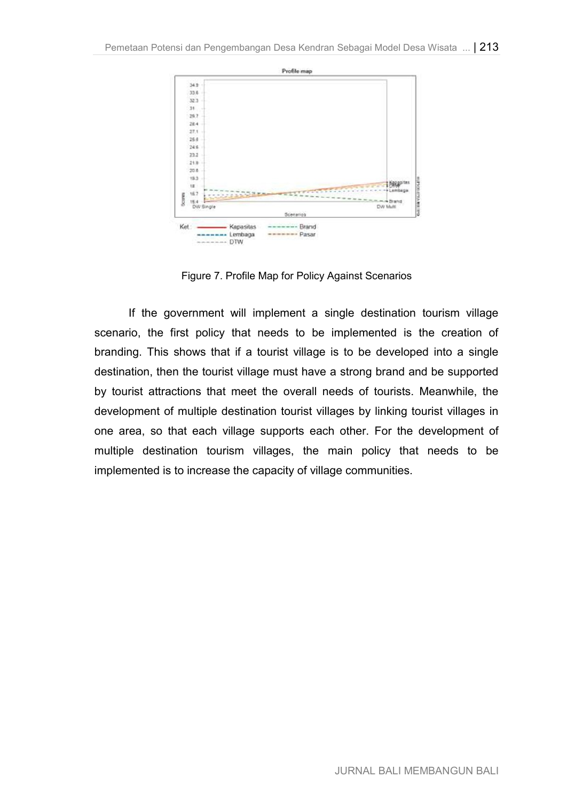

Figure 7. Profile Map for Policy Against Scenarios

If the government will implement a single destination tourism village scenario, the first policy that needs to be implemented is the creation of branding. This shows that if a tourist village is to be developed into a single destination, then the tourist village must have a strong brand and be supported by tourist attractions that meet the overall needs of tourists. Meanwhile, the development of multiple destination tourist villages by linking tourist villages in one area, so that each village supports each other. For the development of multiple destination tourism villages, the main policy that needs to be implemented is to increase the capacity of village communities.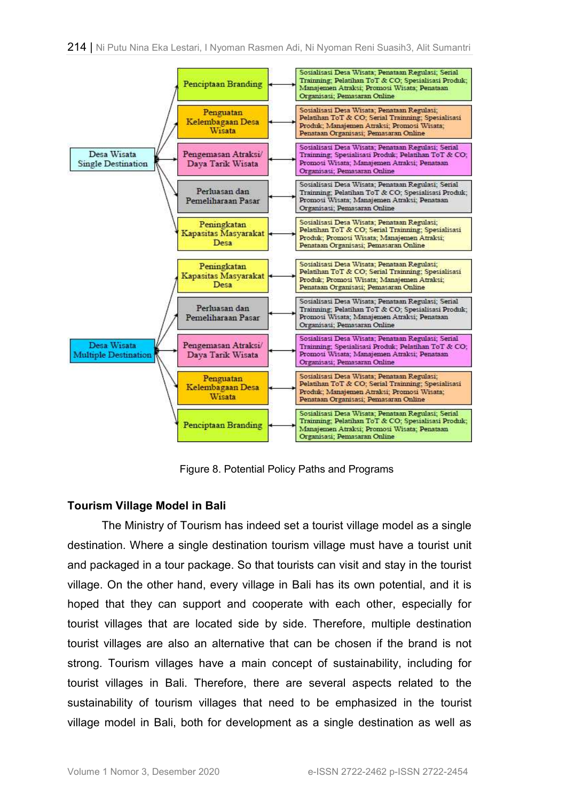

Figure 8. Potential Policy Paths and Programs

## **Tourism Village Model in Bali**

The Ministry of Tourism has indeed set a tourist village model as a single destination. Where a single destination tourism village must have a tourist unit and packaged in a tour package. So that tourists can visit and stay in the tourist village. On the other hand, every village in Bali has its own potential, and it is hoped that they can support and cooperate with each other, especially for tourist villages that are located side by side. Therefore, multiple destination tourist villages are also an alternative that can be chosen if the brand is not strong. Tourism villages have a main concept of sustainability, including for tourist villages in Bali. Therefore, there are several aspects related to the sustainability of tourism villages that need to be emphasized in the tourist village model in Bali, both for development as a single destination as well as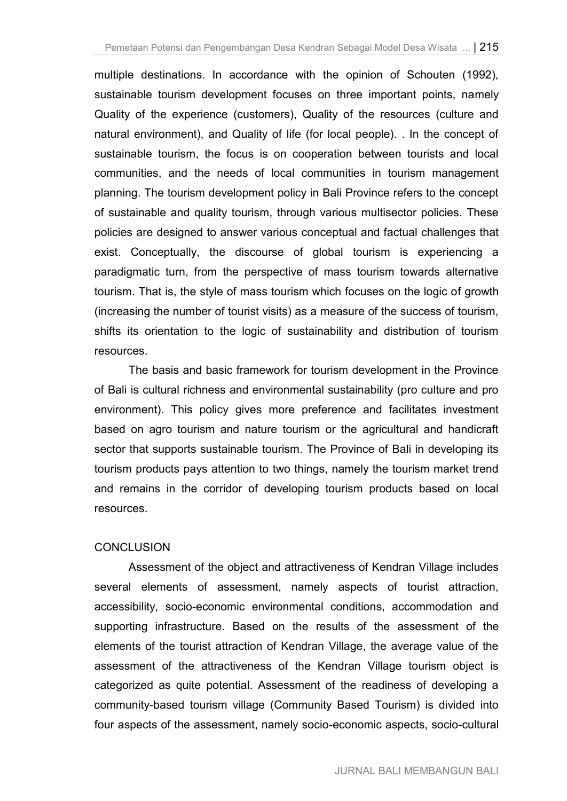multiple destinations. In accordance with the opinion of Schouten (1992), sustainable tourism development focuses on three important points, namely Quality of the experience (customers), Quality of the resources (culture and natural environment), and Quality of life (for local people). . In the concept of sustainable tourism, the focus is on cooperation between tourists and local communities, and the needs of local communities in tourism management planning. The tourism development policy in Bali Province refers to the concept of sustainable and quality tourism, through various multisector policies. These policies are designed to answer various conceptual and factual challenges that exist. Conceptually, the discourse of global tourism is experiencing a paradigmatic turn, from the perspective of mass tourism towards alternative tourism. That is, the style of mass tourism which focuses on the logic of growth (increasing the number of tourist visits) as a measure of the success of tourism, shifts its orientation to the logic of sustainability and distribution of tourism resources.

The basis and basic framework for tourism development in the Province of Bali is cultural richness and environmental sustainability (pro culture and pro environment). This policy gives more preference and facilitates investment based on agro tourism and nature tourism or the agricultural and handicraft sector that supports sustainable tourism. The Province of Bali in developing its tourism products pays attention to two things, namely the tourism market trend and remains in the corridor of developing tourism products based on local resources.

## **CONCLUSION**

Assessment of the object and attractiveness of Kendran Village includes several elements of assessment, namely aspects of tourist attraction, accessibility, socio-economic environmental conditions, accommodation and supporting infrastructure. Based on the results of the assessment of the elements of the tourist attraction of Kendran Village, the average value of the assessment of the attractiveness of the Kendran Village tourism object is categorized as quite potential. Assessment of the readiness of developing a community-based tourism village (Community Based Tourism) is divided into four aspects of the assessment, namely socio-economic aspects, socio-cultural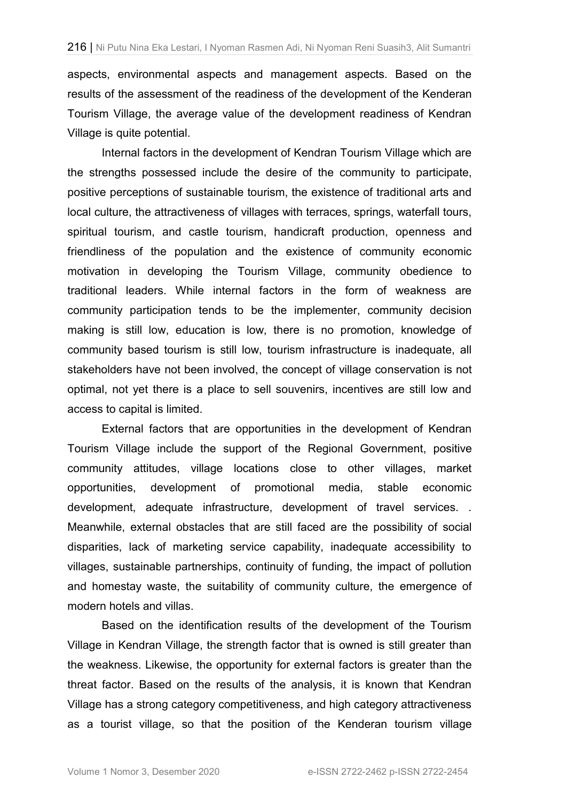aspects, environmental aspects and management aspects. Based on the results of the assessment of the readiness of the development of the Kenderan Tourism Village, the average value of the development readiness of Kendran Village is quite potential.

Internal factors in the development of Kendran Tourism Village which are the strengths possessed include the desire of the community to participate, positive perceptions of sustainable tourism, the existence of traditional arts and local culture, the attractiveness of villages with terraces, springs, waterfall tours, spiritual tourism, and castle tourism, handicraft production, openness and friendliness of the population and the existence of community economic motivation in developing the Tourism Village, community obedience to traditional leaders. While internal factors in the form of weakness are community participation tends to be the implementer, community decision making is still low, education is low, there is no promotion, knowledge of community based tourism is still low, tourism infrastructure is inadequate, all stakeholders have not been involved, the concept of village conservation is not optimal, not yet there is a place to sell souvenirs, incentives are still low and access to capital is limited.

External factors that are opportunities in the development of Kendran Tourism Village include the support of the Regional Government, positive community attitudes, village locations close to other villages, market opportunities, development of promotional media, stable economic development, adequate infrastructure, development of travel services. . Meanwhile, external obstacles that are still faced are the possibility of social disparities, lack of marketing service capability, inadequate accessibility to villages, sustainable partnerships, continuity of funding, the impact of pollution and homestay waste, the suitability of community culture, the emergence of modern hotels and villas.

Based on the identification results of the development of the Tourism Village in Kendran Village, the strength factor that is owned is still greater than the weakness. Likewise, the opportunity for external factors is greater than the threat factor. Based on the results of the analysis, it is known that Kendran Village has a strong category competitiveness, and high category attractiveness as a tourist village, so that the position of the Kenderan tourism village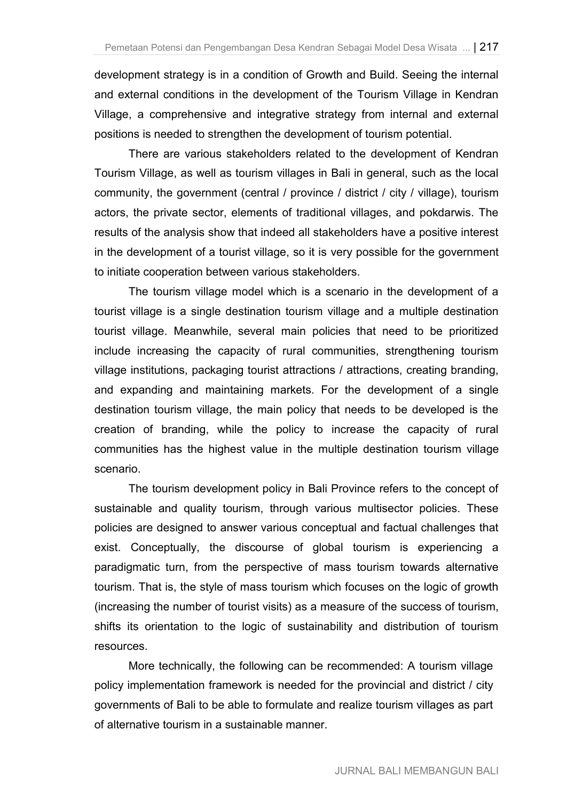development strategy is in a condition of Growth and Build. Seeing the internal and external conditions in the development of the Tourism Village in Kendran Village, a comprehensive and integrative strategy from internal and external positions is needed to strengthen the development of tourism potential.

There are various stakeholders related to the development of Kendran Tourism Village, as well as tourism villages in Bali in general, such as the local community, the government (central / province / district / city / village), tourism actors, the private sector, elements of traditional villages, and pokdarwis. The results of the analysis show that indeed all stakeholders have a positive interest in the development of a tourist village, so it is very possible for the government to initiate cooperation between various stakeholders.

The tourism village model which is a scenario in the development of a tourist village is a single destination tourism village and a multiple destination tourist village. Meanwhile, several main policies that need to be prioritized include increasing the capacity of rural communities, strengthening tourism village institutions, packaging tourist attractions / attractions, creating branding, and expanding and maintaining markets. For the development of a single destination tourism village, the main policy that needs to be developed is the creation of branding, while the policy to increase the capacity of rural communities has the highest value in the multiple destination tourism village scenario.

The tourism development policy in Bali Province refers to the concept of sustainable and quality tourism, through various multisector policies. These policies are designed to answer various conceptual and factual challenges that exist. Conceptually, the discourse of global tourism is experiencing a paradigmatic turn, from the perspective of mass tourism towards alternative tourism. That is, the style of mass tourism which focuses on the logic of growth (increasing the number of tourist visits) as a measure of the success of tourism, shifts its orientation to the logic of sustainability and distribution of tourism resources.

More technically, the following can be recommended: A tourism village policy implementation framework is needed for the provincial and district / city governments of Bali to be able to formulate and realize tourism villages as part of alternative tourism in a sustainable manner.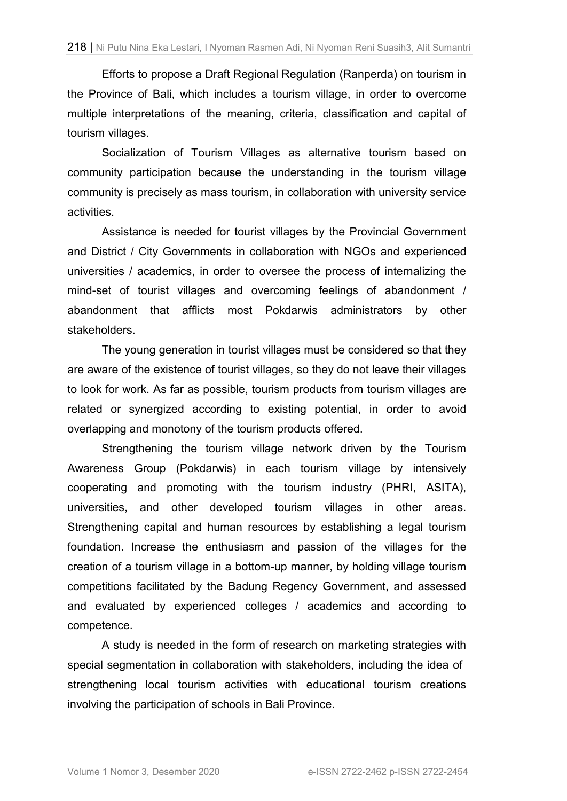Efforts to propose a Draft Regional Regulation (Ranperda) on tourism in the Province of Bali, which includes a tourism village, in order to overcome multiple interpretations of the meaning, criteria, classification and capital of tourism villages.

Socialization of Tourism Villages as alternative tourism based on community participation because the understanding in the tourism village community is precisely as mass tourism, in collaboration with university service activities.

Assistance is needed for tourist villages by the Provincial Government and District / City Governments in collaboration with NGOs and experienced universities / academics, in order to oversee the process of internalizing the mind-set of tourist villages and overcoming feelings of abandonment / abandonment that afflicts most Pokdarwis administrators by other stakeholders.

The young generation in tourist villages must be considered so that they are aware of the existence of tourist villages, so they do not leave their villages to look for work. As far as possible, tourism products from tourism villages are related or synergized according to existing potential, in order to avoid overlapping and monotony of the tourism products offered.

Strengthening the tourism village network driven by the Tourism Awareness Group (Pokdarwis) in each tourism village by intensively cooperating and promoting with the tourism industry (PHRI, ASITA), universities, and other developed tourism villages in other areas. Strengthening capital and human resources by establishing a legal tourism foundation. Increase the enthusiasm and passion of the villages for the creation of a tourism village in a bottom-up manner, by holding village tourism competitions facilitated by the Badung Regency Government, and assessed and evaluated by experienced colleges / academics and according to competence.

A study is needed in the form of research on marketing strategies with special segmentation in collaboration with stakeholders, including the idea of strengthening local tourism activities with educational tourism creations involving the participation of schools in Bali Province.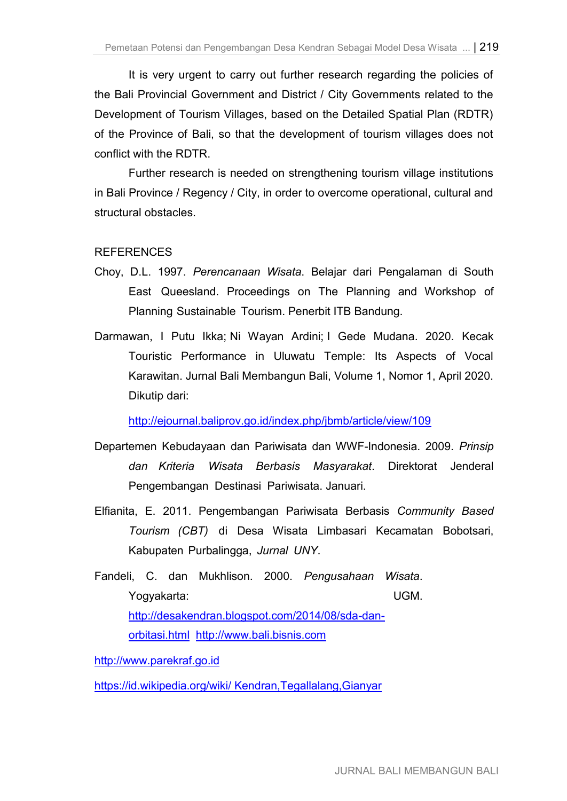It is very urgent to carry out further research regarding the policies of the Bali Provincial Government and District / City Governments related to the Development of Tourism Villages, based on the Detailed Spatial Plan (RDTR) of the Province of Bali, so that the development of tourism villages does not conflict with the RDTR.

Further research is needed on strengthening tourism village institutions in Bali Province / Regency / City, in order to overcome operational, cultural and structural obstacles.

## REFERENCES

- Choy, D.L. 1997. *Perencanaan Wisata*. Belajar dari Pengalaman di South East Queesland. Proceedings on The Planning and Workshop of Planning Sustainable Tourism. Penerbit ITB Bandung.
- Darmawan, I Putu Ikka; Ni Wayan Ardini; I Gede Mudana. 2020. Kecak Touristic Performance in Uluwatu Temple: Its Aspects of Vocal Karawitan. Jurnal Bali Membangun Bali, Volume 1, Nomor 1, April 2020. Dikutip dari:

http://ejournal.baliprov.go.id/index.php/jbmb/article/view/109

- Departemen Kebudayaan dan Pariwisata dan WWF-Indonesia. 2009. *Prinsip dan Kriteria Wisata Berbasis Masyarakat*. Direktorat Jenderal Pengembangan Destinasi Pariwisata. Januari.
- Elfianita, E. 2011. Pengembangan Pariwisata Berbasis *Community Based Tourism (CBT)* di Desa Wisata Limbasari Kecamatan Bobotsari, Kabupaten Purbalingga, *Jurnal UNY*.
- Fandeli, C. dan Mukhlison. 2000. *Pengusahaan Wisata*. Yogyakarta: UGM. http://desakendran.blogspot.com/2014/08/sda-danorbitasi.html http://www.bali.bisnis.com

http://www.parekraf.go.id

https://id.wikipedia.org/wiki/ Kendran,Tegallalang,Gianyar